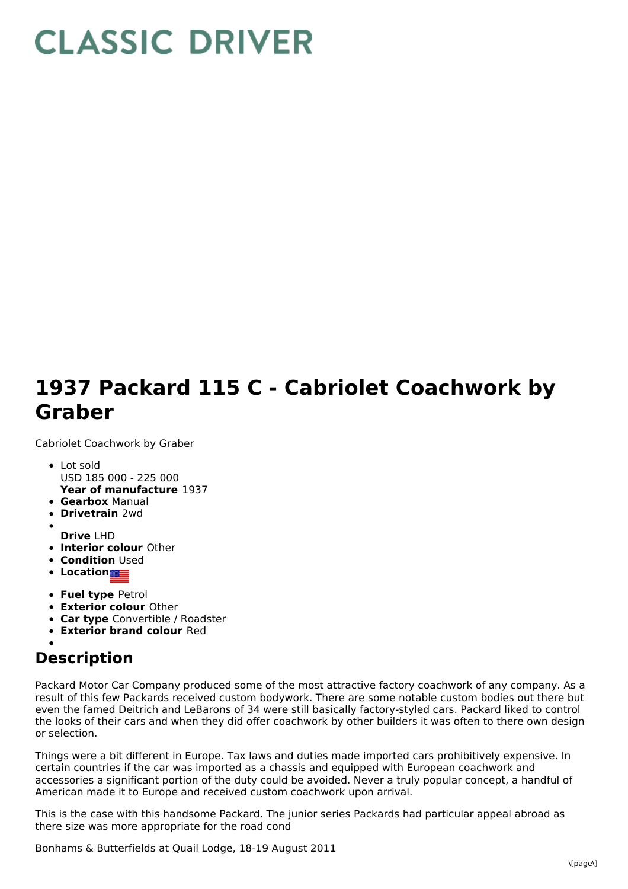## **CLASSIC DRIVER**

## **1937 Packard 115 C - Cabriolet Coachwork by Graber**

Cabriolet Coachwork by Graber

- **Year of manufacture** 1937 Lot sold USD 185 000 - 225 000
- **Gearbox** Manual
- **Drivetrain** 2wd
- 
- **Drive** LHD
- **Interior colour** Other
- **Condition Used**
- **Location**
- **Fuel type** Petrol
- **Exterior colour** Other
- **Car type** Convertible / Roadster
- **Exterior brand colour** Red

## **Description**

Packard Motor Car Company produced some of the most attractive factory coachwork of any company. As a result of this few Packards received custom bodywork. There are some notable custom bodies out there but even the famed Deitrich and LeBarons of 34 were still basically factory-styled cars. Packard liked to control the looks of their cars and when they did offer coachwork by other builders it was often to there own design or selection.

Things were a bit different in Europe. Tax laws and duties made imported cars prohibitively expensive. In certain countries if the car was imported as a chassis and equipped with European coachwork and accessories a significant portion of the duty could be avoided. Never a truly popular concept, a handful of American made it to Europe and received custom coachwork upon arrival.

This is the case with this handsome Packard. The junior series Packards had particular appeal abroad as there size was more appropriate for the road cond

Bonhams & Butterfields at Quail Lodge, 18-19 August 2011